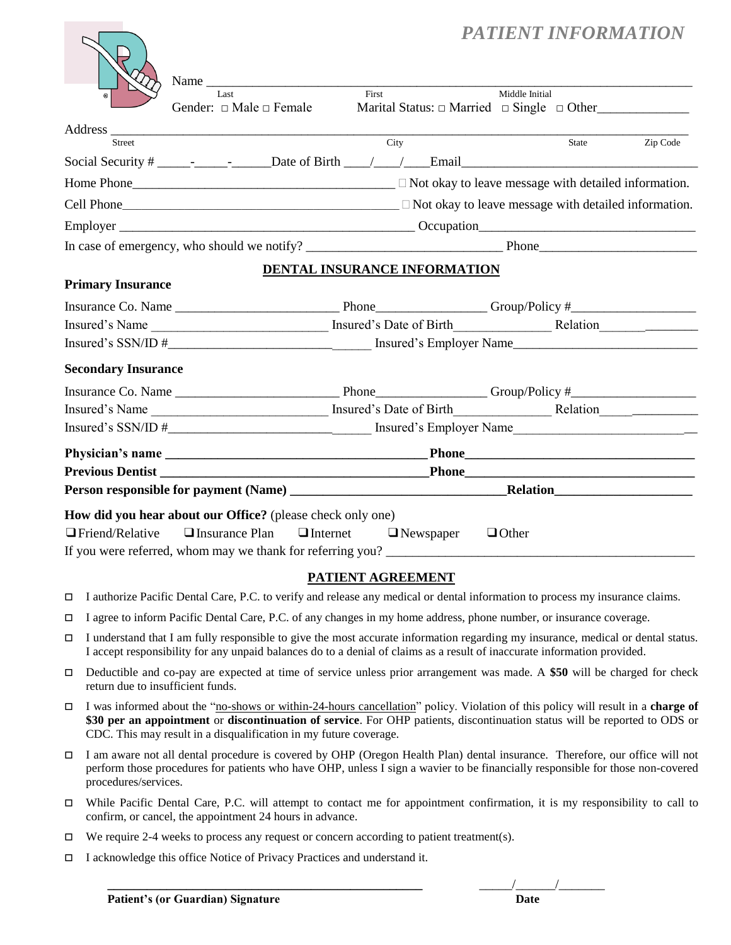# *PATIENT INFORMATION*

|                            | Name<br>Last                                                                                                                                                                                                                   | First                        | Middle Initial                                                           |          |
|----------------------------|--------------------------------------------------------------------------------------------------------------------------------------------------------------------------------------------------------------------------------|------------------------------|--------------------------------------------------------------------------|----------|
|                            | Gender: $\Box$ Male $\Box$ Female                                                                                                                                                                                              |                              | Marital Status: $\Box$ Married $\Box$ Single $\Box$ Other                |          |
|                            | Address and the contract of the contract of the contract of the contract of the contract of the contract of the contract of the contract of the contract of the contract of the contract of the contract of the contract of th |                              |                                                                          |          |
| <b>Street</b>              |                                                                                                                                                                                                                                | City                         | State                                                                    | Zip Code |
|                            |                                                                                                                                                                                                                                |                              |                                                                          |          |
|                            |                                                                                                                                                                                                                                |                              |                                                                          |          |
|                            |                                                                                                                                                                                                                                |                              | $Cell$ Phone $\Box$ Not okay to leave message with detailed information. |          |
|                            |                                                                                                                                                                                                                                |                              |                                                                          |          |
|                            |                                                                                                                                                                                                                                |                              |                                                                          |          |
|                            |                                                                                                                                                                                                                                | DENTAL INSURANCE INFORMATION |                                                                          |          |
| <b>Primary Insurance</b>   |                                                                                                                                                                                                                                |                              |                                                                          |          |
|                            |                                                                                                                                                                                                                                |                              |                                                                          |          |
|                            |                                                                                                                                                                                                                                |                              |                                                                          |          |
|                            |                                                                                                                                                                                                                                |                              |                                                                          |          |
| <b>Secondary Insurance</b> |                                                                                                                                                                                                                                |                              |                                                                          |          |
|                            |                                                                                                                                                                                                                                |                              |                                                                          |          |
|                            |                                                                                                                                                                                                                                |                              |                                                                          |          |
|                            |                                                                                                                                                                                                                                |                              |                                                                          |          |
|                            |                                                                                                                                                                                                                                |                              |                                                                          |          |
|                            |                                                                                                                                                                                                                                |                              |                                                                          |          |
|                            |                                                                                                                                                                                                                                |                              |                                                                          |          |
|                            | How did you hear about our Office? (please check only one)                                                                                                                                                                     |                              |                                                                          |          |
|                            | $\Box$ Friend/Relative $\Box$ Insurance Plan $\Box$ Internet $\Box$ Newspaper                                                                                                                                                  |                              | $\Box$ Other                                                             |          |
|                            |                                                                                                                                                                                                                                |                              |                                                                          |          |
|                            |                                                                                                                                                                                                                                | <b>DATIENT ACDEEMIENTE</b>   |                                                                          |          |

## **PATIENT AGREEMENT**

- I authorize Pacific Dental Care, P.C. to verify and release any medical or dental information to process my insurance claims.
- I agree to inform Pacific Dental Care, P.C. of any changes in my home address, phone number, or insurance coverage.
- I understand that I am fully responsible to give the most accurate information regarding my insurance, medical or dental status. I accept responsibility for any unpaid balances do to a denial of claims as a result of inaccurate information provided.
- Deductible and co-pay are expected at time of service unless prior arrangement was made. A **\$50** will be charged for check return due to insufficient funds.
- I was informed about the "no-shows or within-24-hours cancellation" policy. Violation of this policy will result in a **charge of \$30 per an appointment** or **discontinuation of service**. For OHP patients, discontinuation status will be reported to ODS or CDC. This may result in a disqualification in my future coverage.
- I am aware not all dental procedure is covered by OHP (Oregon Health Plan) dental insurance. Therefore, our office will not perform those procedures for patients who have OHP, unless I sign a wavier to be financially responsible for those non-covered procedures/services.
- While Pacific Dental Care, P.C. will attempt to contact me for appointment confirmation, it is my responsibility to call to confirm, or cancel, the appointment 24 hours in advance.
- $\Box$  We require 2-4 weeks to process any request or concern according to patient treatment(s).
- I acknowledge this office Notice of Privacy Practices and understand it.